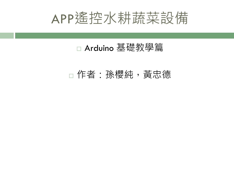

#### Arduino 基礎教學篇

#### 作者:孫櫻純,黃忠德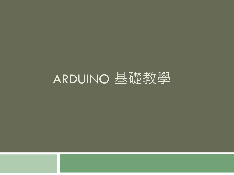### ARDUINO 基礎教學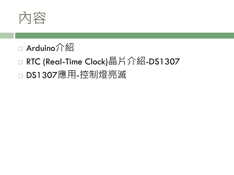

#### Arduino介紹

### □ RTC (Real-Time Clock)晶片介紹-DS1307 □ DS1307應用-控制燈亮滅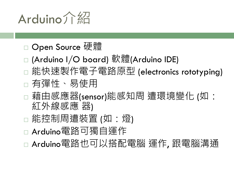

#### □ Open Source 硬體

- □ (Arduino I/O board) 軟體(Arduino IDE) □ 能快速製作電子電路原型 (electronics rototyping)
- 有彈性、易使用
- □ 藉由感應器(sensor)能感知周 遭環境變化 (如: 紅外線感應 器)
- □ 能控制周遭裝置 (如:燈)
- □ Arduino電路可獨自運作
- □ Arduino電路也可以搭配電腦 運作, 跟電腦溝通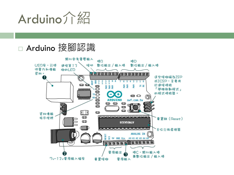

#### □ Arduino 接腳認識

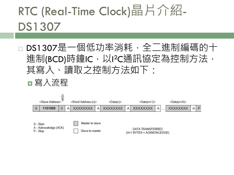### RTC (Real-Time Clock)晶片介紹-DS1307

- DS1307是一個低功率消耗,全二進制編碼的十 進制(BCD)時鐘IC,以I<sup>2</sup>C通訊協定為控制方法, 其寫入、讀取之控制方法如下:
	- ■寫入流程



| S - Start<br>A - Acknowledge (ACK)<br>P - Stop | Master to slave |                                               |
|------------------------------------------------|-----------------|-----------------------------------------------|
|                                                | Slave to master | DATA TRANSFERRED<br>(X+1 BYTES + ACKNOWLEDGE) |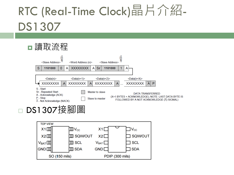### RTC (Real-Time Clock)晶片介紹-DS1307

| 讀取流程                                                                                                             |                                          |                                          |                                                       |                                                                                                                            |
|------------------------------------------------------------------------------------------------------------------|------------------------------------------|------------------------------------------|-------------------------------------------------------|----------------------------------------------------------------------------------------------------------------------------|
| <slave address=""></slave>                                                                                       | ∣≽ิ<br><word (n)="" address=""></word>   | <slave address=""></slave>               | <rw></rw>                                             |                                                                                                                            |
| S<br>1101000                                                                                                     | <b>XXXXXXXX</b><br>$\bf{0}$<br>A         | <b>Sr</b><br>1101000<br>A                | A                                                     |                                                                                                                            |
| $\le$ Data(n)><br><b>XXXXXXXX</b>                                                                                | $\le$ Data(n+1)><br><b>XXXXXXXX</b><br>A | $\le$ Data(n+2)><br><b>XXXXXXXX</b><br>A | $\le$ Data(n+X)><br><b>XXXXXXXX</b><br>$\overline{A}$ | $\overline{A}$<br>P                                                                                                        |
| S - Start<br>Sr - Repeated Start<br>A - Acknowledge (ACK)<br>P - Stop<br>$\overline{A}$ - Not Acknowledge (NACK) |                                          | Master to slave<br>Slave to master       |                                                       | <b>DATA TRANSFERRED</b><br>(X+1 BYTES + ACKNOWLEDGE); NOTE: LAST DATA BYTE IS<br>FOLLOWED BY A NOT ACKNOWLEDGE (A) SIGNAL) |
| <b>DS1307</b>                                                                                                    | 啚                                        |                                          |                                                       |                                                                                                                            |

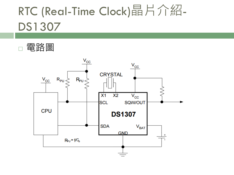### RTC (Real-Time Clock)晶片介紹-DS1307

電路圖

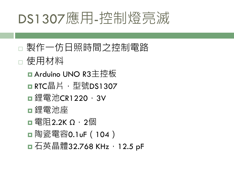製作一仿日照時間之控制電路

使用材料

- Arduino UNO R3主控板
- **□ RTC晶片,型號DS1307**
- **□** 鋰電池CR1220,3V
- ■鋰電池座
- ■電阻2.2K Ω,2個
- ■陶瓷電容0.1uF (104)
- ■石英晶體32.768 KHz, 12.5 pF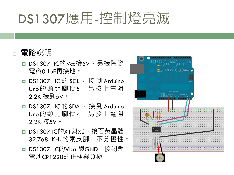#### 電路說明

- □ DS1307 IC的Vcc接5V,另接陶瓷 電容0.1uF再接地。
- DS1307 IC 的 SCL , 接到 Arduino Uno的類比腳位5,另接上電阻 2.2K 接到5V。
- DS1307 IC的 SDA ,接到 Arduino Uno的類比腳位4,另接上電阻 2.2K 接5V。
- **□ DS1307 IC的X1與X2**,接石英晶體 32.768 KHz的兩支腳, 不分極性。
- DS1307 IC的Vbat與GND,接到鋰 電池CR1220的正極與負極

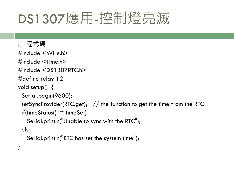}

```
 程式碼
#include <Wire.h>
#include <Time.h> 
#include <DS1307RTC.h>
#define relay 12
void setup() {
  Serial.begin(9600);
 setSyncProvider(RTC.get); \frac{1}{2} the function to get the time from the RTC
 if(timeStatus() != timeSet)
    Serial.println("Unable to sync with the RTC");
  else
    Serial.println("RTC has set the system time");
```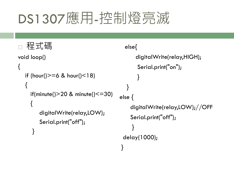```
 程式碼
void loop()
{ 
  if (hour()>=6 & hour()<18)
  {
    if(minute()>20 & minute()\le=30)
\{ digitalWrite(relay,LOW); 
         Serial.print("off");
      }
                                          else{
                                              digitalWrite(relay,HIGH);
                                               Serial.print("on");
                                        } 
                                        }
                                       else {
                                            digitalWrite(relay,LOW);//OFF
                                            Serial.print("off");
                                        }
                                         delay(1000);
                                        }
```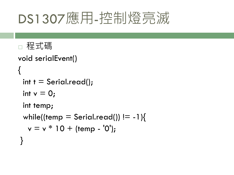```
 程式碼
void serialEvent()
{
 int t = Serial.read();
 int v = 0;
  int temp;
 while((temp = Serial.read()) != -1}{
  v = v * 10 + (temp - '0');}
```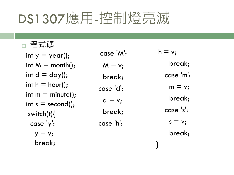$ID \rightarrow TF$ 

| <b>↑壬</b> エ、대局                                              |           |           |
|-------------------------------------------------------------|-----------|-----------|
| int $y = year$ );                                           | case 'M': | $h = v_i$ |
| int $M = \text{month}()$ ;                                  | $M = v;$  | break;    |
| int $d = day()$ ;                                           | break;    | case 'm': |
| int $h = hour$ );                                           | case 'd': | $m = v;$  |
| int $m =$ minute();<br>int $s = second()$ ;<br>switch $(t)$ | $d = v;$  | break;    |
|                                                             | break;    | case 's': |
| case 'y':                                                   | case 'h': | $s = v_i$ |
| $y = v_i$                                                   |           | break;    |
| break;                                                      |           |           |
|                                                             |           |           |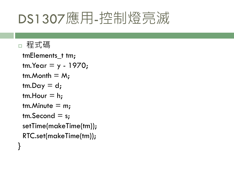#### 程式碼

}

```
 tmElements_t tm;
tm.Year = y - 1970;tm.Month = M;tm.Day = d;tm.Hour = h;tm.Minute = m;tm.Second = s; setTime(makeTime(tm));
 RTC.set(makeTime(tm));
```